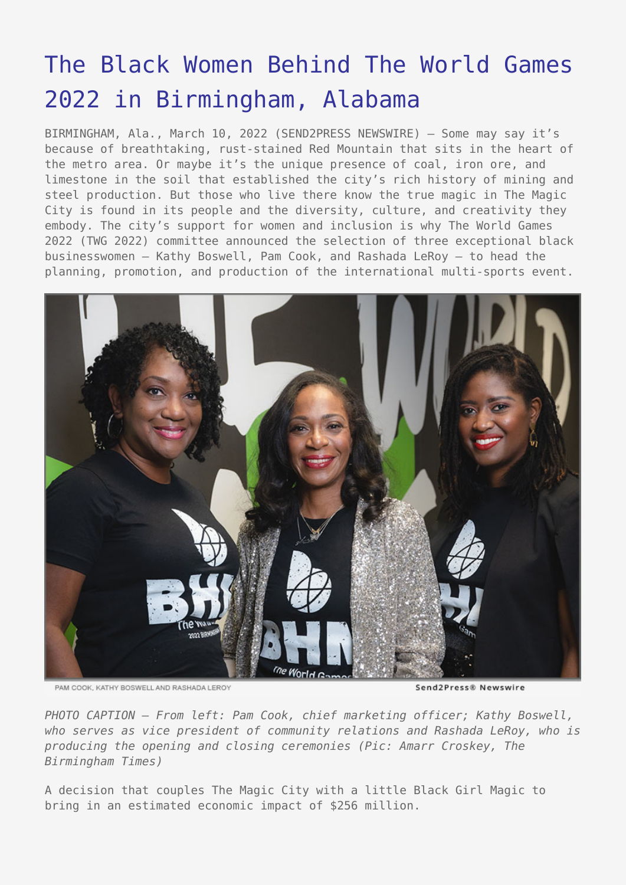## [The Black Women Behind The World Games](https://www.send2press.com/wire/the-black-women-behind-the-world-games-2022-in-birmingham-alabama/) [2022 in Birmingham, Alabama](https://www.send2press.com/wire/the-black-women-behind-the-world-games-2022-in-birmingham-alabama/)

BIRMINGHAM, Ala., March 10, 2022 (SEND2PRESS NEWSWIRE) — Some may say it's because of breathtaking, rust-stained Red Mountain that sits in the heart of the metro area. Or maybe it's the unique presence of coal, iron ore, and limestone in the soil that established the city's rich history of mining and steel production. But those who live there know the true magic in The Magic City is found in its people and the diversity, culture, and creativity they embody. The city's support for women and inclusion is why The World Games 2022 (TWG 2022) committee announced the selection of three exceptional black businesswomen – Kathy Boswell, Pam Cook, and Rashada LeRoy – to head the planning, promotion, and production of the international multi-sports event.



PAM COOK, KATHY BOSWELL AND RASHADA LEROY

Send2Press® Newswire

*PHOTO CAPTION – From left: Pam Cook, chief marketing officer; Kathy Boswell, who serves as vice president of community relations and Rashada LeRoy, who is producing the opening and closing ceremonies (Pic: Amarr Croskey, The Birmingham Times)*

A decision that couples The Magic City with a little Black Girl Magic to bring in an estimated economic impact of \$256 million.